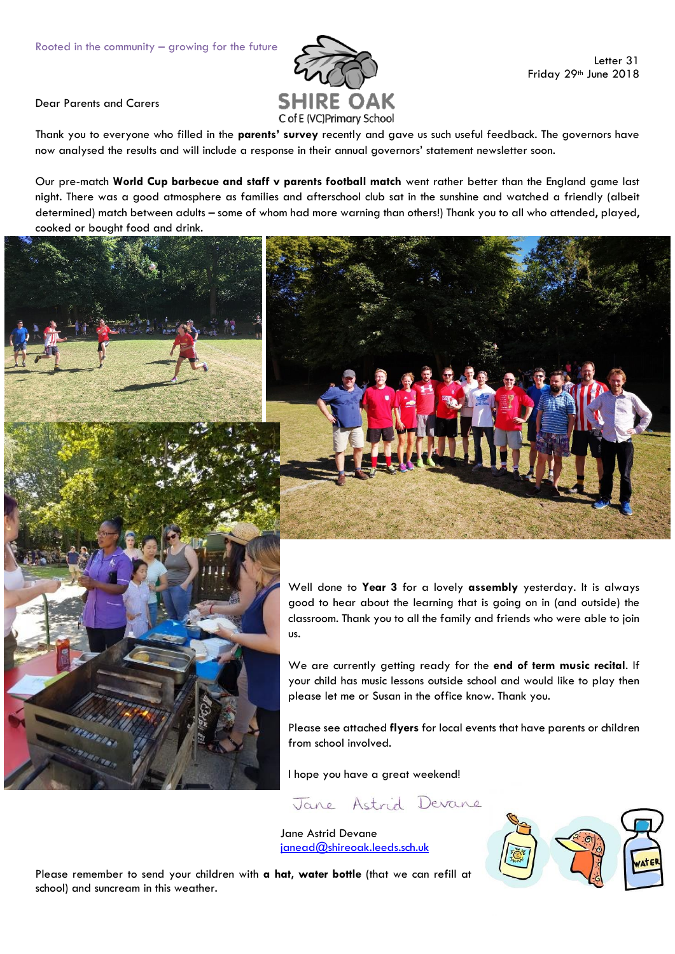

Dear Parents and Carers

Thank you to everyone who filled in the **parents' survey** recently and gave us such useful feedback. The governors have now analysed the results and will include a response in their annual governors' statement newsletter soon.

Our pre-match **World Cup barbecue and staff v parents football match** went rather better than the England game last night. There was a good atmosphere as families and afterschool club sat in the sunshine and watched a friendly (albeit determined) match between adults – some of whom had more warning than others!) Thank you to all who attended, played, cooked or bought food and drink.





Well done to **Year 3** for a lovely **assembly** yesterday. It is always good to hear about the learning that is going on in (and outside) the classroom. Thank you to all the family and friends who were able to join us.

We are currently getting ready for the **end of term music recital**. If your child has music lessons outside school and would like to play then please let me or Susan in the office know. Thank you.

Please see attached **flyers** for local events that have parents or children from school involved.

I hope you have a great weekend!

Jane Astrid Devane

Jane Astrid Devane [janead@shireoak.leeds.sch.uk](mailto:janead@shireoak.leeds.sch.uk)



Please remember to send your children with **a hat, water bottle** (that we can refill at school) and suncream in this weather.